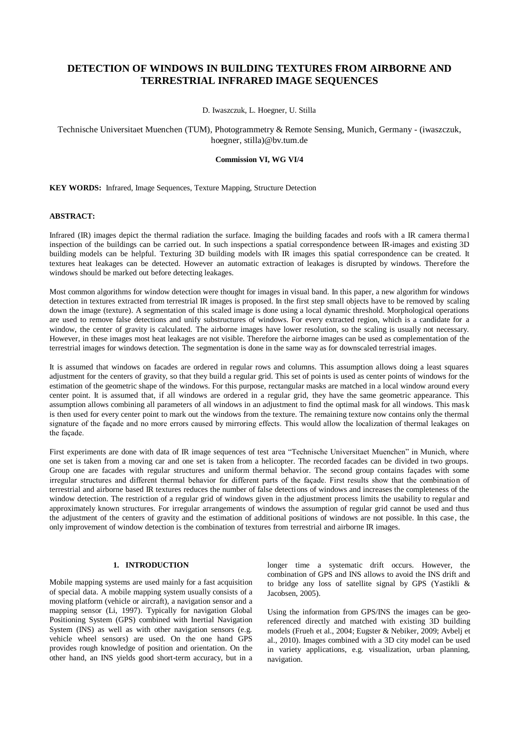# **DETECTION OF WINDOWS IN BUILDING TEXTURES FROM AIRBORNE AND TERRESTRIAL INFRARED IMAGE SEQUENCES**

D. Iwaszczuk, L. Hoegner, U. Stilla

Technische Universitaet Muenchen (TUM), Photogrammetry & Remote Sensing, Munich, Germany - (iwaszczuk, hoegner, stilla)@bv.tum.de

# **Commission VI, WG VI/4**

**KEY WORDS:** Infrared, Image Sequences, Texture Mapping, Structure Detection

## **ABSTRACT:**

Infrared (IR) images depict the thermal radiation the surface. Imaging the building facades and roofs with a IR camera thermal inspection of the buildings can be carried out. In such inspections a spatial correspondence between IR-images and existing 3D building models can be helpful. Texturing 3D building models with IR images this spatial correspondence can be created. It textures heat leakages can be detected. However an automatic extraction of leakages is disrupted by windows. Therefore the windows should be marked out before detecting leakages.

Most common algorithms for window detection were thought for images in visual band. In this paper, a new algorithm for windows detection in textures extracted from terrestrial IR images is proposed. In the first step small objects have to be removed by scaling down the image (texture). A segmentation of this scaled image is done using a local dynamic threshold. Morphological operations are used to remove false detections and unify substructures of windows. For every extracted region, which is a candidate for a window, the center of gravity is calculated. The airborne images have lower resolution, so the scaling is usually not necessary. However, in these images most heat leakages are not visible. Therefore the airborne images can be used as complementation of the terrestrial images for windows detection. The segmentation is done in the same way as for downscaled terrestrial images.

It is assumed that windows on facades are ordered in regular rows and columns. This assumption allows doing a least squares adjustment for the centers of gravity, so that they build a regular grid. This set of points is used as center points of windows for the estimation of the geometric shape of the windows. For this purpose, rectangular masks are matched in a local window around every center point. It is assumed that, if all windows are ordered in a regular grid, they have the same geometric appearance. This assumption allows combining all parameters of all windows in an adjustment to find the optimal mask for all windows. This mask is then used for every center point to mark out the windows from the texture. The remaining texture now contains only the thermal signature of the façade and no more errors caused by mirroring effects. This would allow the localization of thermal leakages on the façade.

First experiments are done with data of IR image sequences of test area "Technische Universitaet Muenchen" in Munich, where one set is taken from a moving car and one set is taken from a helicopter. The recorded facades can be divided in two groups. Group one are facades with regular structures and uniform thermal behavior. The second group contains façades with some irregular structures and different thermal behavior for different parts of the façade. First results show that the combination of terrestrial and airborne based IR textures reduces the number of false detections of windows and increases the completeness of the window detection. The restriction of a regular grid of windows given in the adjustment process limits the usability to regular and approximately known structures. For irregular arrangements of windows the assumption of regular grid cannot be used and thus the adjustment of the centers of gravity and the estimation of additional positions of windows are not possible. In this case , the only improvement of window detection is the combination of textures from terrestrial and airborne IR images.

# **1. INTRODUCTION**

Mobile mapping systems are used mainly for a fast acquisition of special data. A mobile mapping system usually consists of a moving platform (vehicle or aircraft), a navigation sensor and a mapping sensor (Li, 1997). Typically for navigation Global Positioning System (GPS) combined with Inertial Navigation System (INS) as well as with other navigation sensors (e.g. vehicle wheel sensors) are used. On the one hand GPS provides rough knowledge of position and orientation. On the other hand, an INS yields good short-term accuracy, but in a longer time a systematic drift occurs. However, the combination of GPS and INS allows to avoid the INS drift and to bridge any loss of satellite signal by GPS (Yastikli & Jacobsen, 2005).

Using the information from GPS/INS the images can be georeferenced directly and matched with existing 3D building models (Frueh et al., 2004; Eugster & Nebiker, 2009; Avbelj et al., 2010). Images combined with a 3D city model can be used in variety applications, e.g. visualization, urban planning, navigation.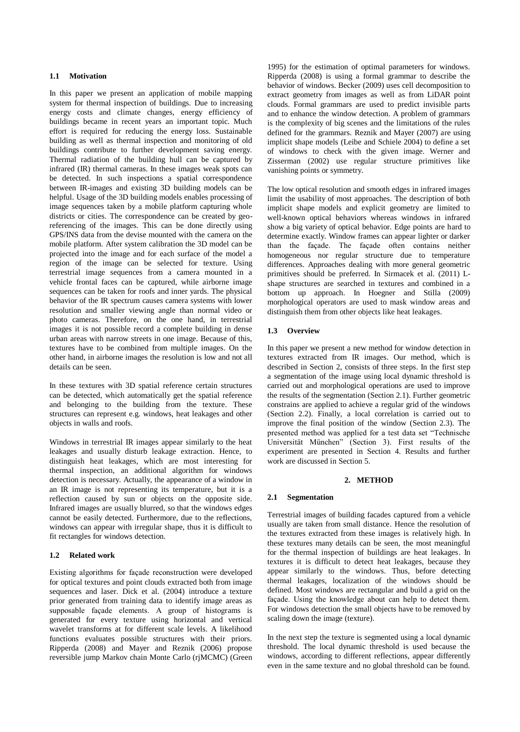# **1.1 Motivation**

In this paper we present an application of mobile mapping system for thermal inspection of buildings. Due to increasing energy costs and climate changes, energy efficiency of buildings became in recent years an important topic. Much effort is required for reducing the energy loss. Sustainable building as well as thermal inspection and monitoring of old buildings contribute to further development saving energy. Thermal radiation of the building hull can be captured by infrared (IR) thermal cameras. In these images weak spots can be detected. In such inspections a spatial correspondence between IR-images and existing 3D building models can be helpful. Usage of the 3D building models enables processing of image sequences taken by a mobile platform capturing whole districts or cities. The correspondence can be created by georeferencing of the images. This can be done directly using GPS/INS data from the devise mounted with the camera on the mobile platform. After system calibration the 3D model can be projected into the image and for each surface of the model a region of the image can be selected for texture. Using terrestrial image sequences from a camera mounted in a vehicle frontal faces can be captured, while airborne image sequences can be taken for roofs and inner yards. The physical behavior of the IR spectrum causes camera systems with lower resolution and smaller viewing angle than normal video or photo cameras. Therefore, on the one hand, in terrestrial images it is not possible record a complete building in dense urban areas with narrow streets in one image. Because of this, textures have to be combined from multiple images. On the other hand, in airborne images the resolution is low and not all details can be seen.

In these textures with 3D spatial reference certain structures can be detected, which automatically get the spatial reference and belonging to the building from the texture. These structures can represent e.g. windows, heat leakages and other objects in walls and roofs.

Windows in terrestrial IR images appear similarly to the heat leakages and usually disturb leakage extraction. Hence, to distinguish heat leakages, which are most interesting for thermal inspection, an additional algorithm for windows detection is necessary. Actually, the appearance of a window in an IR image is not representing its temperature, but it is a reflection caused by sun or objects on the opposite side. Infrared images are usually blurred, so that the windows edges cannot be easily detected. Furthermore, due to the reflections, windows can appear with irregular shape, thus it is difficult to fit rectangles for windows detection.

# **1.2 Related work**

Existing algorithms for façade reconstruction were developed for optical textures and point clouds extracted both from image sequences and laser. Dick et al. (2004) introduce a texture prior generated from training data to identify image areas as supposable façade elements. A group of histograms is generated for every texture using horizontal and vertical wavelet transforms at for different scale levels. A likelihood functions evaluates possible structures with their priors. Ripperda (2008) and Mayer and Reznik (2006) propose reversible jump Markov chain Monte Carlo (rjMCMC) (Green

1995) for the estimation of optimal parameters for windows. Ripperda (2008) is using a formal grammar to describe the behavior of windows. Becker (2009) uses cell decomposition to extract geometry from images as well as from LiDAR point clouds. Formal grammars are used to predict invisible parts and to enhance the window detection. A problem of grammars is the complexity of big scenes and the limitations of the rules defined for the grammars. Reznik and Mayer (2007) are using implicit shape models (Leibe and Schiele 2004) to define a set of windows to check with the given image. Werner and Zisserman (2002) use regular structure primitives like vanishing points or symmetry.

The low optical resolution and smooth edges in infrared images limit the usability of most approaches. The description of both implicit shape models and explicit geometry are limited to well-known optical behaviors whereas windows in infrared show a big variety of optical behavior. Edge points are hard to determine exactly. Window frames can appear lighter or darker than the façade. The façade often contains neither homogeneous nor regular structure due to temperature differences. Approaches dealing with more general geometric primitives should be preferred. In Sirmacek et al. (2011) Lshape structures are searched in textures and combined in a bottom up approach. In Hoegner and Stilla (2009) morphological operators are used to mask window areas and distinguish them from other objects like heat leakages.

## **1.3 Overview**

In this paper we present a new method for window detection in textures extracted from IR images. Our method, which is described in Section 2, consists of three steps. In the first step a segmentation of the image using local dynamic threshold is carried out and morphological operations are used to improve the results of the segmentation (Section 2.1). Further geometric constrains are applied to achieve a regular grid of the windows (Section 2.2). Finally, a local correlation is carried out to improve the final position of the window (Section 2.3). The presented method was applied for a test data set "Technische Universität München" (Section 3). First results of the experiment are presented in Section 4. Results and further work are discussed in Section 5.

### **2. METHOD**

#### **2.1 Segmentation**

Terrestrial images of building facades captured from a vehicle usually are taken from small distance. Hence the resolution of the textures extracted from these images is relatively high. In these textures many details can be seen, the most meaningful for the thermal inspection of buildings are heat leakages. In textures it is difficult to detect heat leakages, because they appear similarly to the windows. Thus, before detecting thermal leakages, localization of the windows should be defined. Most windows are rectangular and build a grid on the façade. Using the knowledge about can help to detect them. For windows detection the small objects have to be removed by scaling down the image (texture).

In the next step the texture is segmented using a local dynamic threshold. The local dynamic threshold is used because the windows, according to different reflections, appear differently even in the same texture and no global threshold can be found.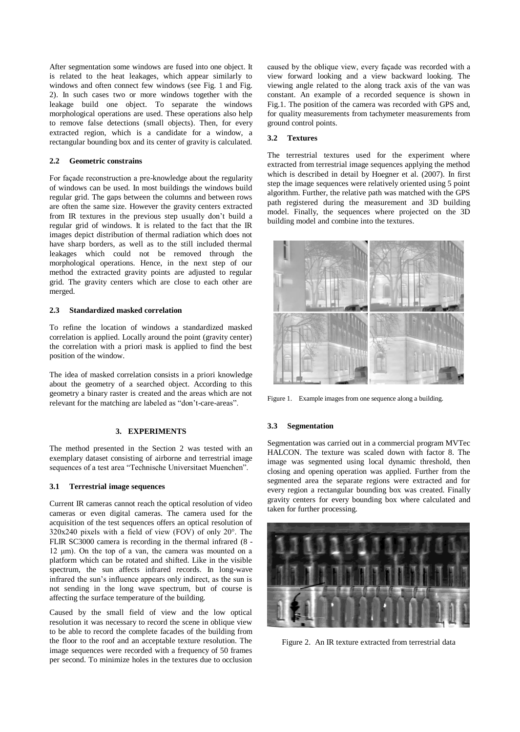After segmentation some windows are fused into one object. It is related to the heat leakages, which appear similarly to windows and often connect few windows (see Fig. 1 and Fig. 2). In such cases two or more windows together with the leakage build one object. To separate the windows morphological operations are used. These operations also help to remove false detections (small objects). Then, for every extracted region, which is a candidate for a window, a rectangular bounding box and its center of gravity is calculated.

### **2.2 Geometric constrains**

For façade reconstruction a pre-knowledge about the regularity of windows can be used. In most buildings the windows build regular grid. The gaps between the columns and between rows are often the same size. However the gravity centers extracted from IR textures in the previous step usually don't build a regular grid of windows. It is related to the fact that the IR images depict distribution of thermal radiation which does not have sharp borders, as well as to the still included thermal leakages which could not be removed through the morphological operations. Hence, in the next step of our method the extracted gravity points are adjusted to regular grid. The gravity centers which are close to each other are merged.

## **2.3 Standardized masked correlation**

To refine the location of windows a standardized masked correlation is applied. Locally around the point (gravity center) the correlation with a priori mask is applied to find the best position of the window.

The idea of masked correlation consists in a priori knowledge about the geometry of a searched object. According to this geometry a binary raster is created and the areas which are not relevant for the matching are labeled as "don't-care-areas".

## **3. EXPERIMENTS**

The method presented in the Section 2 was tested with an exemplary dataset consisting of airborne and terrestrial image sequences of a test area "Technische Universitaet Muenchen".

#### **3.1 Terrestrial image sequences**

Current IR cameras cannot reach the optical resolution of video cameras or even digital cameras. The camera used for the acquisition of the test sequences offers an optical resolution of  $320x240$  pixels with a field of view (FOV) of only  $20^\circ$ . The FLIR SC3000 camera is recording in the thermal infrared (8 - 12 μm). On the top of a van, the camera was mounted on a platform which can be rotated and shifted. Like in the visible spectrum, the sun affects infrared records. In long-wave infrared the sun's influence appears only indirect, as the sun is not sending in the long wave spectrum, but of course is affecting the surface temperature of the building.

Caused by the small field of view and the low optical resolution it was necessary to record the scene in oblique view to be able to record the complete facades of the building from the floor to the roof and an acceptable texture resolution. The image sequences were recorded with a frequency of 50 frames per second. To minimize holes in the textures due to occlusion

caused by the oblique view, every façade was recorded with a view forward looking and a view backward looking. The viewing angle related to the along track axis of the van was constant. An example of a recorded sequence is shown in Fig.1. The position of the camera was recorded with GPS and, for quality measurements from tachymeter measurements from ground control points.

#### **3.2 Textures**

The terrestrial textures used for the experiment where extracted from terrestrial image sequences applying the method which is described in detail by Hoegner et al. (2007). In first step the image sequences were relatively oriented using 5 point algorithm. Further, the relative path was matched with the GPS path registered during the measurement and 3D building model. Finally, the sequences where projected on the 3D building model and combine into the textures.



Figure 1. Example images from one sequence along a building.

#### **3.3 Segmentation**

Segmentation was carried out in a commercial program MVTec HALCON. The texture was scaled down with factor 8. The image was segmented using local dynamic threshold, then closing and opening operation was applied. Further from the segmented area the separate regions were extracted and for every region a rectangular bounding box was created. Finally gravity centers for every bounding box where calculated and taken for further processing.



Figure 2. An IR texture extracted from terrestrial data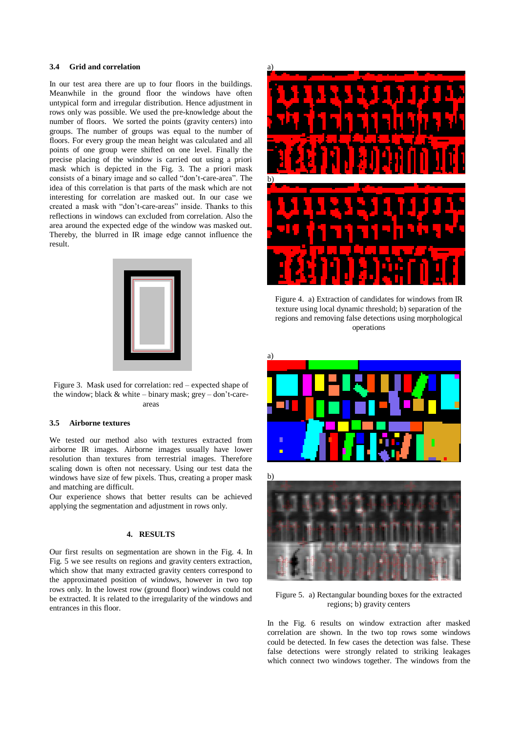## **3.4 Grid and correlation**

In our test area there are up to four floors in the buildings. Meanwhile in the ground floor the windows have often untypical form and irregular distribution. Hence adjustment in rows only was possible. We used the pre-knowledge about the number of floors. We sorted the points (gravity centers) into groups. The number of groups was equal to the number of floors. For every group the mean height was calculated and all points of one group were shifted on one level. Finally the precise placing of the window is carried out using a priori mask which is depicted in the Fig. 3. The a priori mask consists of a binary image and so called "don't-care-area". The idea of this correlation is that parts of the mask which are not interesting for correlation are masked out. In our case we created a mask with "don't-care-areas" inside. Thanks to this reflections in windows can excluded from correlation. Also the area around the expected edge of the window was masked out. Thereby, the blurred in IR image edge cannot influence the result.



Figure 3. Mask used for correlation: red – expected shape of the window; black & white – binary mask; grey – don't-careareas

# **3.5 Airborne textures**

We tested our method also with textures extracted from airborne IR images. Airborne images usually have lower resolution than textures from terrestrial images. Therefore scaling down is often not necessary. Using our test data the windows have size of few pixels. Thus, creating a proper mask and matching are difficult.

Our experience shows that better results can be achieved applying the segmentation and adjustment in rows only.

#### **4. RESULTS**

Our first results on segmentation are shown in the Fig. 4. In Fig. 5 we see results on regions and gravity centers extraction, which show that many extracted gravity centers correspond to the approximated position of windows, however in two top rows only. In the lowest row (ground floor) windows could not be extracted. It is related to the irregularity of the windows and entrances in this floor.



Figure 4. a) Extraction of candidates for windows from IR texture using local dynamic threshold; b) separation of the regions and removing false detections using morphological operations



Figure 5. a) Rectangular bounding boxes for the extracted regions; b) gravity centers

In the Fig. 6 results on window extraction after masked correlation are shown. In the two top rows some windows could be detected. In few cases the detection was false. These false detections were strongly related to striking leakages which connect two windows together. The windows from the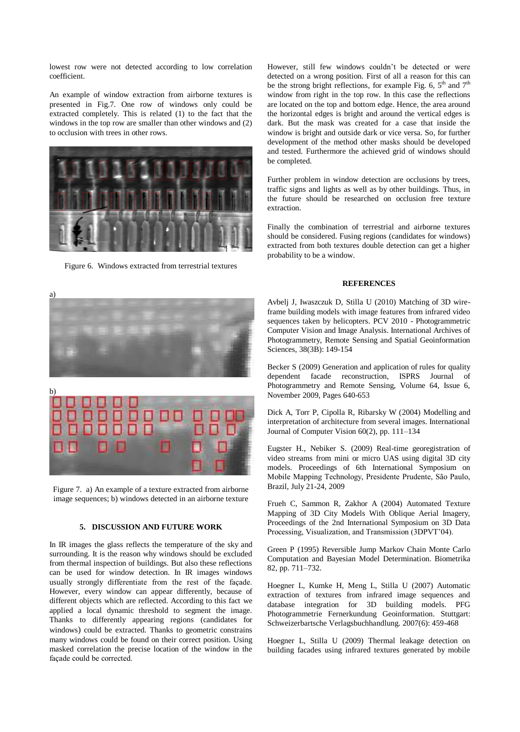lowest row were not detected according to low correlation coefficient.

An example of window extraction from airborne textures is presented in Fig.7. One row of windows only could be extracted completely. This is related (1) to the fact that the windows in the top row are smaller than other windows and (2) to occlusion with trees in other rows.



Figure 6. Windows extracted from terrestrial textures

However, still few windows couldn't be detected or were detected on a wrong position. First of all a reason for this can be the strong bright reflections, for example Fig. 6,  $5<sup>th</sup>$  and  $7<sup>th</sup>$ window from right in the top row. In this case the reflections are located on the top and bottom edge. Hence, the area around the horizontal edges is bright and around the vertical edges is dark. But the mask was created for a case that inside the window is bright and outside dark or vice versa. So, for further development of the method other masks should be developed and tested. Furthermore the achieved grid of windows should be completed.

Further problem in window detection are occlusions by trees, traffic signs and lights as well as by other buildings. Thus, in the future should be researched on occlusion free texture extraction.

Finally the combination of terrestrial and airborne textures should be considered. Fusing regions (candidates for windows) extracted from both textures double detection can get a higher probability to be a window.

#### **REFERENCES**

Avbelj J, Iwaszczuk D, Stilla U (2010) Matching of 3D wireframe building models with image features from infrared video sequences taken by helicopters. PCV 2010 - Photogrammetric Computer Vision and Image Analysis. International Archives of Photogrammetry, Remote Sensing and Spatial Geoinformation Sciences, 38(3B): 149-154

Becker S (2009) Generation and application of rules for quality dependent facade reconstruction, ISPRS Journal of Photogrammetry and Remote Sensing, Volume 64, Issue 6, November 2009, Pages 640-653

Dick A, Torr P, Cipolla R, Ribarsky W (2004) Modelling and interpretation of architecture from several images. International Journal of Computer Vision 60(2), pp. 111–134

Eugster H., Nebiker S. (2009) Real-time georegistration of video streams from mini or micro UAS using digital 3D city models. Proceedings of 6th International Symposium on Mobile Mapping Technology, Presidente Prudente, São Paulo, Brazil, July 21-24, 2009

Frueh C, Sammon R, Zakhor A (2004) Automated Texture Mapping of 3D City Models With Oblique Aerial Imagery, Proceedings of the 2nd International Symposium on 3D Data Processing, Visualization, and Transmission (3DPVT'04).

Green P (1995) Reversible Jump Markov Chain Monte Carlo Computation and Bayesian Model Determination. Biometrika 82, pp. 711–732.

Hoegner L, Kumke H, Meng L, Stilla U (2007) Automatic extraction of textures from infrared image sequences and database integration for 3D building models. PFG Photogrammetrie Fernerkundung Geoinformation. Stuttgart: Schweizerbartsche Verlagsbuchhandlung. 2007(6): 459-468

Hoegner L, Stilla U (2009) Thermal leakage detection on building facades using infrared textures generated by mobile



Figure 7. a) An example of a texture extracted from airborne image sequences; b) windows detected in an airborne texture

## **5. DISCUSSION AND FUTURE WORK**

In IR images the glass reflects the temperature of the sky and surrounding. It is the reason why windows should be excluded from thermal inspection of buildings. But also these reflections can be used for window detection. In IR images windows usually strongly differentiate from the rest of the façade. However, every window can appear differently, because of different objects which are reflected. According to this fact we applied a local dynamic threshold to segment the image. Thanks to differently appearing regions (candidates for windows) could be extracted. Thanks to geometric constrains many windows could be found on their correct position. Using masked correlation the precise location of the window in the façade could be corrected.